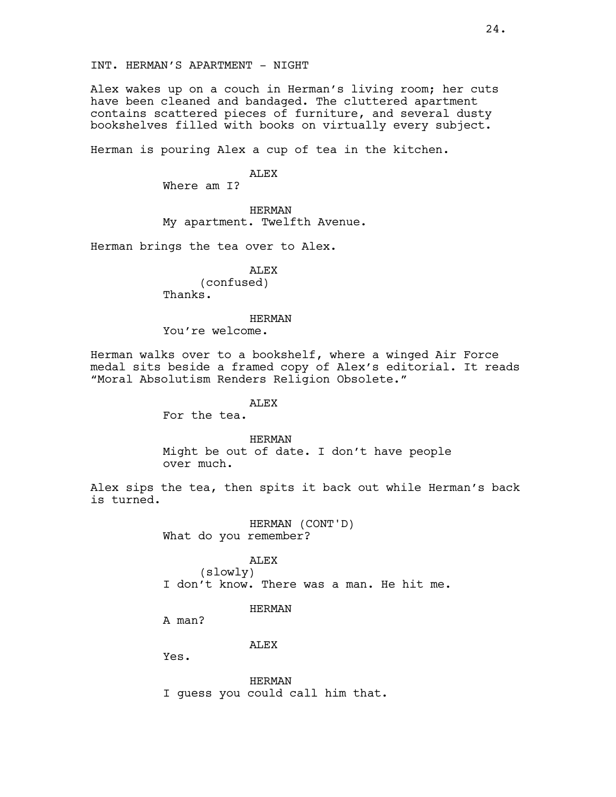### INT. HERMAN'S APARTMENT - NIGHT

Alex wakes up on a couch in Herman's living room; her cuts have been cleaned and bandaged. The cluttered apartment contains scattered pieces of furniture, and several dusty bookshelves filled with books on virtually every subject.

Herman is pouring Alex a cup of tea in the kitchen.

# **ALEX**

Where am I?

#### HERMAN

My apartment. Twelfth Avenue.

Herman brings the tea over to Alex.

# ALEX

(confused) Thanks.

### HERMAN

You're welcome.

Herman walks over to a bookshelf, where a winged Air Force medal sits beside a framed copy of Alex's editorial. It reads "Moral Absolutism Renders Religion Obsolete."

# ALEX

For the tea.

### HERMAN

Might be out of date. I don't have people over much.

Alex sips the tea, then spits it back out while Herman's back is turned.

> HERMAN (CONT'D) What do you remember?

#### ALEX

(slowly) I don't know. There was a man. He hit me.

### HERMAN

A man?

## ALEX

Yes.

HERMAN I guess you could call him that.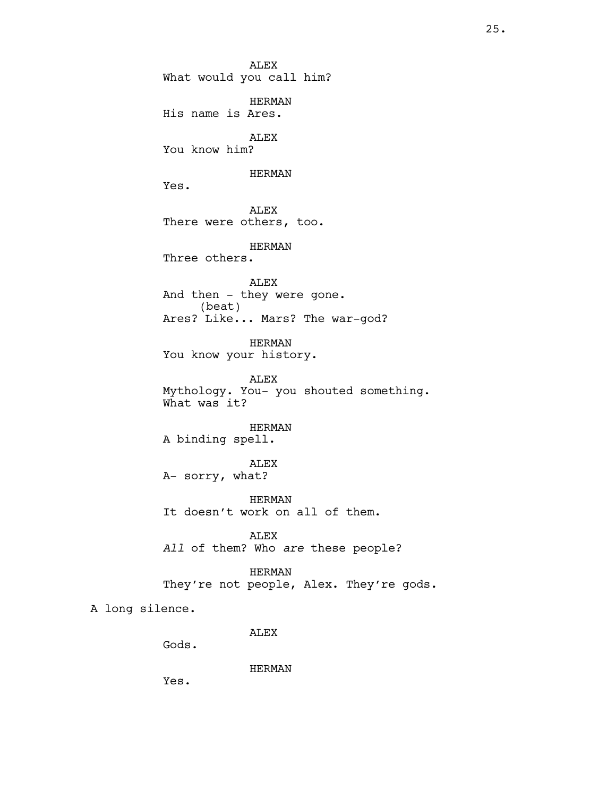ALEX What would you call him? HERMAN His name is Ares. ALEX You know him? HERMAN Yes. ALEX There were others, too. HERMAN Three others. ALEX And then - they were gone. (beat) Ares? Like... Mars? The war-god? HERMAN You know your history. ALEX Mythology. You- you shouted something. What was it? HERMAN A binding spell. ALEX A- sorry, what? HERMAN It doesn't work on all of them. ALEX *All* of them? Who *are* these people? HERMAN They're not people, Alex. They're gods. A long silence.

ALEX

Gods.

HERMAN

Yes.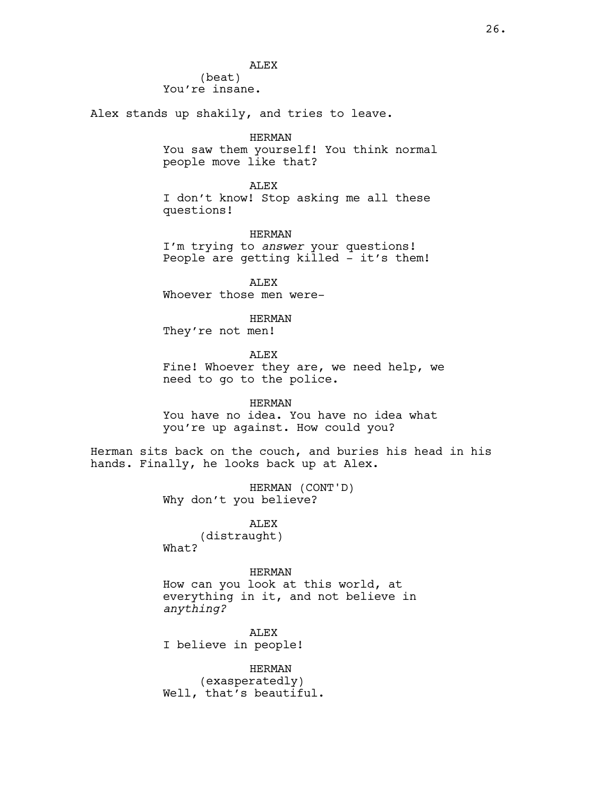ALEX (beat) You're insane.

Alex stands up shakily, and tries to leave.

## HERMAN

You saw them yourself! You think normal people move like that?

ALEX I don't know! Stop asking me all these questions!

HERMAN

I'm trying to *answer* your questions! People are getting killed - it's them!

ALEX Whoever those men were-

HERMAN

They're not men!

ALEX Fine! Whoever they are, we need help, we need to go to the police.

HERMAN You have no idea. You have no idea what you're up against. How could you?

Herman sits back on the couch, and buries his head in his hands. Finally, he looks back up at Alex.

> HERMAN (CONT'D) Why don't you believe?

ALEX (distraught) What?

#### HERMAN

How can you look at this world, at everything in it, and not believe in *anything?*

ALEX I believe in people!

> HERMAN (exasperatedly)

Well, that's beautiful.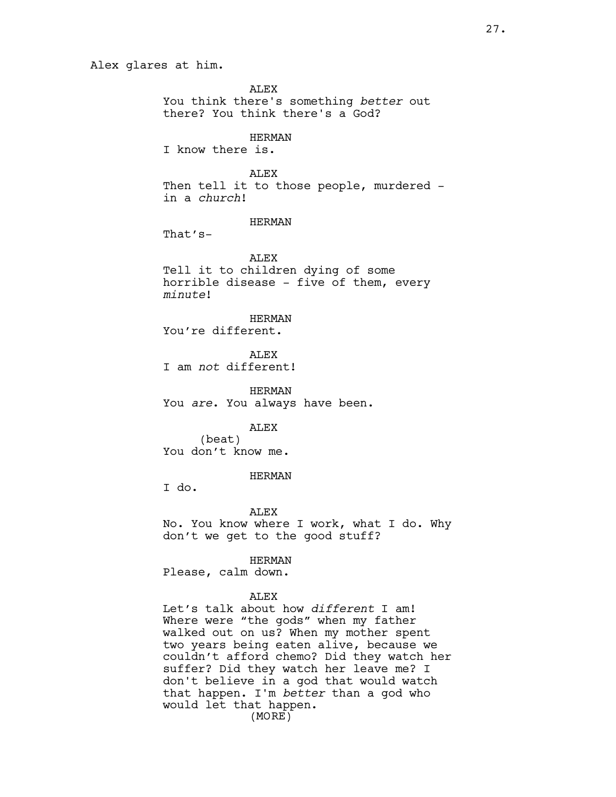ALEX You think there's something *better* out there? You think there's a God?

HERMAN

I know there is.

# **ALEX**

Then tell it to those people, murdered in a *church*!

## HERMAN

That's-

**ALEX** Tell it to children dying of some horrible disease - five of them, every *minute*!

### HERMAN You're different.

**ALEX** I am *not* different!

HERMAN You *are*. You always have been.

#### ALEX

(beat) You don't know me.

### HERMAN

I do.

#### ALEX

No. You know where I work, what I do. Why don't we get to the good stuff?

### HERMAN

Please, calm down.

### ALEX

Let's talk about how *different* I am! Where were "the gods" when my father walked out on us? When my mother spent two years being eaten alive, because we couldn't afford chemo? Did they watch her suffer? Did they watch her leave me? I don't believe in a god that would watch that happen. I'm *better* than a god who would let that happen. (MORE)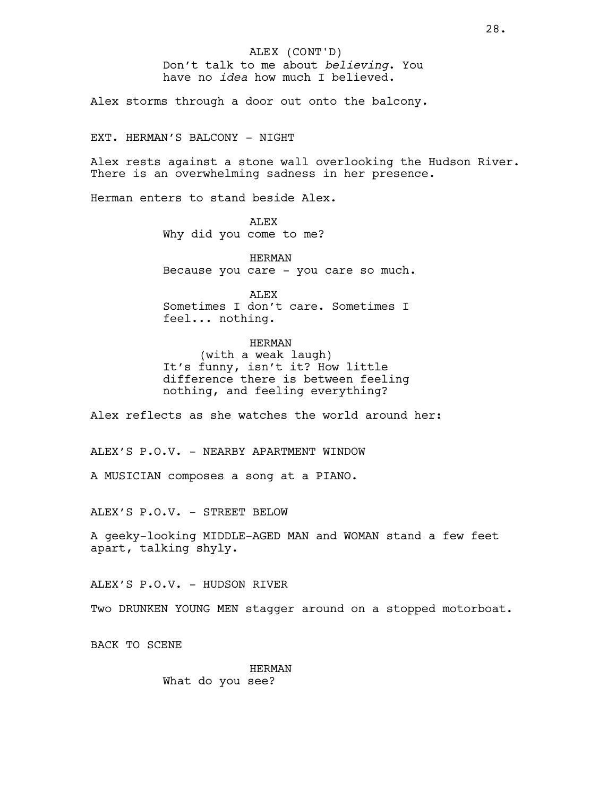Don't talk to me about *believing*. You have no *idea* how much I believed. ALEX (CONT'D)

Alex storms through a door out onto the balcony.

EXT. HERMAN'S BALCONY - NIGHT

Alex rests against a stone wall overlooking the Hudson River. There is an overwhelming sadness in her presence.

Herman enters to stand beside Alex.

ALEX Why did you come to me?

HERMAN Because you care - you care so much.

ALEX Sometimes I don't care. Sometimes I feel... nothing.

### HERMAN

(with a weak laugh) It's funny, isn't it? How little difference there is between feeling nothing, and feeling everything?

Alex reflects as she watches the world around her:

ALEX'S P.O.V. - NEARBY APARTMENT WINDOW

A MUSICIAN composes a song at a PIANO.

ALEX'S P.O.V. - STREET BELOW

A geeky-looking MIDDLE-AGED MAN and WOMAN stand a few feet apart, talking shyly.

ALEX'S P.O.V. - HUDSON RIVER

Two DRUNKEN YOUNG MEN stagger around on a stopped motorboat.

BACK TO SCENE

HERMAN What do you see?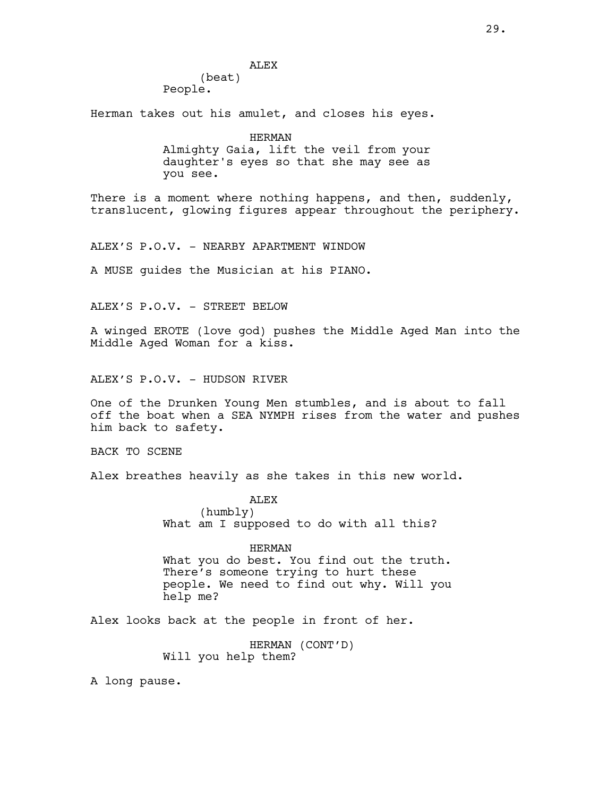ALEX (beat)

People.

Herman takes out his amulet, and closes his eyes.

HERMAN Almighty Gaia, lift the veil from your daughter's eyes so that she may see as you see.

There is a moment where nothing happens, and then, suddenly, translucent, glowing figures appear throughout the periphery.

ALEX'S P.O.V. - NEARBY APARTMENT WINDOW

A MUSE guides the Musician at his PIANO.

ALEX'S P.O.V. - STREET BELOW

A winged EROTE (love god) pushes the Middle Aged Man into the Middle Aged Woman for a kiss.

ALEX'S P.O.V. - HUDSON RIVER

One of the Drunken Young Men stumbles, and is about to fall off the boat when a SEA NYMPH rises from the water and pushes him back to safety.

BACK TO SCENE

Alex breathes heavily as she takes in this new world.

ALEX (humbly) What am I supposed to do with all this?

HERMAN What you do best. You find out the truth. There's someone trying to hurt these people. We need to find out why. Will you help me?

Alex looks back at the people in front of her.

HERMAN (CONT'D) Will you help them?

A long pause.